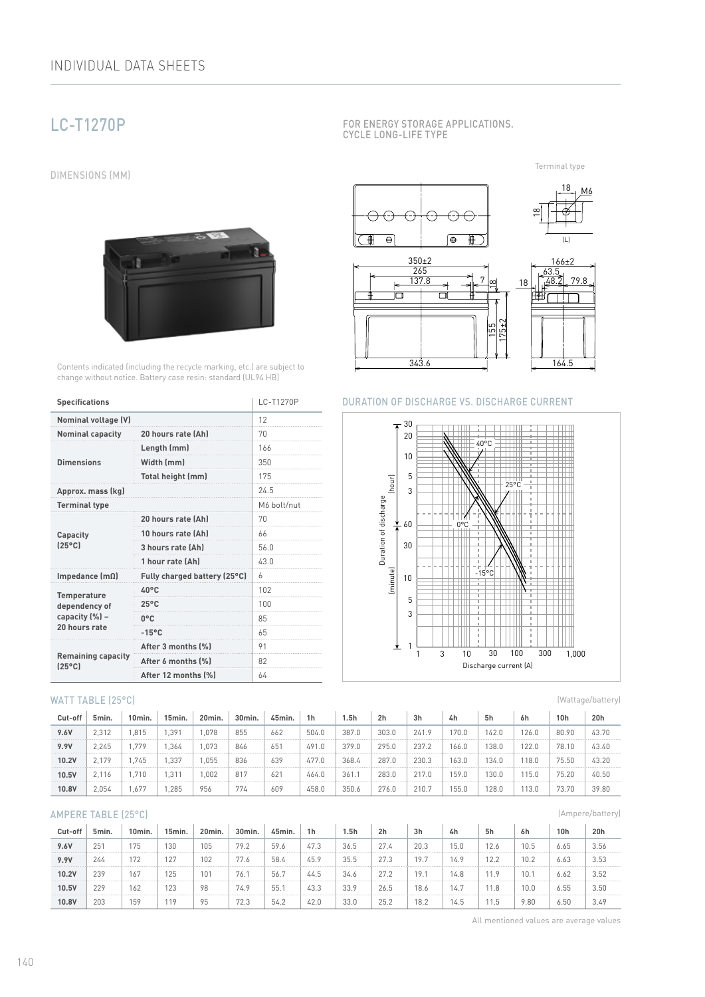# LC-T1270P

DIMENSIONS (MM)



Contents indicated (including the recycle marking, etc.) are subject to change without notice. Battery case resin: standard (UL94 HB)

| <b>Specifications</b>                        | LC-T1270P                    |             |  |  |  |
|----------------------------------------------|------------------------------|-------------|--|--|--|
| <b>Nominal voltage (V)</b>                   | 12                           |             |  |  |  |
| <b>Nominal capacity</b>                      | 20 hours rate (Ah)           | 70          |  |  |  |
|                                              | Length (mm)                  | 166         |  |  |  |
| <b>Dimensions</b>                            | Width (mm)                   | 350         |  |  |  |
|                                              | Total height (mm)            | 175         |  |  |  |
| Approx. mass (kg)                            |                              | 24.5        |  |  |  |
| <b>Terminal type</b>                         |                              | M6 bolt/nut |  |  |  |
|                                              | 20 hours rate (Ah)           | 70          |  |  |  |
| Capacity                                     | 10 hours rate (Ah)           | 66          |  |  |  |
| $[25^{\circ}C]$                              | 3 hours rate (Ah)            | 56.0        |  |  |  |
|                                              | 1 hour rate (Ah)             | 43.0        |  |  |  |
| Impedance $(m\Omega)$                        | Fully charged battery (25°C) | h           |  |  |  |
| <b>Temperature</b>                           | $40^{\circ}$ C               | 102         |  |  |  |
| dependency of                                | $25^{\circ}$ C               | 100         |  |  |  |
| capacity (%) -                               | $0^{\circ}$ C                | 85          |  |  |  |
| 20 hours rate                                | $-15^{\circ}$ C              | 65          |  |  |  |
|                                              | After 3 months (%)           | 91          |  |  |  |
| <b>Remaining capacity</b><br>$[25^{\circ}C]$ | After 6 months (%)           | 82          |  |  |  |
|                                              | After 12 months (%)          | 64          |  |  |  |

## WATT TABLE (25°C)

| Cut-off | 5min. | 10min. | 15min. | 20 <sub>min</sub> . | 30min. | 45min. | 1 <sub>h</sub> | l.5h  | 2 <sub>h</sub> | 3h    | 4h    | 5h    | 6h    | 10h   | 20h   |
|---------|-------|--------|--------|---------------------|--------|--------|----------------|-------|----------------|-------|-------|-------|-------|-------|-------|
| 9.6V    | 2.312 | .815   | .391   | ,078                | 855    | 662    | 504.0          | 387.0 | 303.0          | 241.9 | 70.0  | 142.0 | 126.0 | 80.90 | 43.70 |
| 9.9V    | 2,245 | .779   | .364   | .073                | 846    | 651    | 491.0          | 379.0 | 295.0          | 237.2 | 166.0 | 138.0 | 122.0 | 78.10 | 43.40 |
| 10.2V   | 2.179 | .745   | .337   | .055                | 836    | 639    | 477.0          | 368.4 | 287.0          | 230.3 | 63.0  | 134.0 | 18.0  | 75.50 | 43.20 |
| 10.5V   | 2.116 | .710   | .31'   | .002                | 817    | 62'    | 464.0          | 361   | 283.0          | 217.0 | 159.0 | 30.0  | 15.0  | 75.20 | 40.50 |
| 10.8V   | 2.054 | .677   | .285   | 956                 | 774    | 609    | 458.0          | 350.6 | 276.0          | 210.7 | 55.0  | 28.0  | 13.0  | 73.70 | 39.80 |

## AMPERE TABLE (25°C)

| Cut-off | 5min. | 10min. | 15min. | 20min.          | 30min. | 45min. | 1 <sub>h</sub> | 1.5h | 2 <sub>h</sub> | 3h   | 4h   | 5h   | 6h              | 10h  | 20h  |
|---------|-------|--------|--------|-----------------|--------|--------|----------------|------|----------------|------|------|------|-----------------|------|------|
| 9.6V    | 251   | 175    | 130    | 105             | 79.2   | 59.6   | 47.3           | 36.5 | 27.4           | 20.3 | 15.0 | 12.6 | 10.5            | 6.65 | 3.56 |
| 9.9V    | 244   | 172    | 127    | 102             | 77.6   | 58.4   | 45.9           | 35.5 | 27.3           | 19.7 | 14.9 | 12.2 | 10.2            | 6.63 | 3.53 |
| 10.2V   | 239   | 167    | 125    | 10 <sup>7</sup> | 76.1   | 56.    | 44.5           | 34.6 | 27.2           | 19.7 | 14.8 | 11.9 | 10.             | 6.62 | 3.52 |
| 10.5V   | 229   | 162    | 123    | 98              | 74.9   | 55.    | 43.3           | 33.9 | 26.5           | 18.6 | 14.7 | 11.8 | 10 <sub>c</sub> | 6.55 | 3.50 |
| 10.8V   | 203   | 159    | 119    | 95              | 72.3   | 54.2   | 42.0           | 33.0 | 25.2           | 18.2 | 14.5 | 11.5 | 9.80            | 6.50 | 3.49 |

FOR ENERGY STORAGE APPLICATIONS. CYCLE LONG-LIFE TYPE

Terminal type



## DURATION OF DISCHARGE VS. DISCHARGE CURRENT



(Wattage/battery)

(Ampere/battery)

All mentioned values are average values